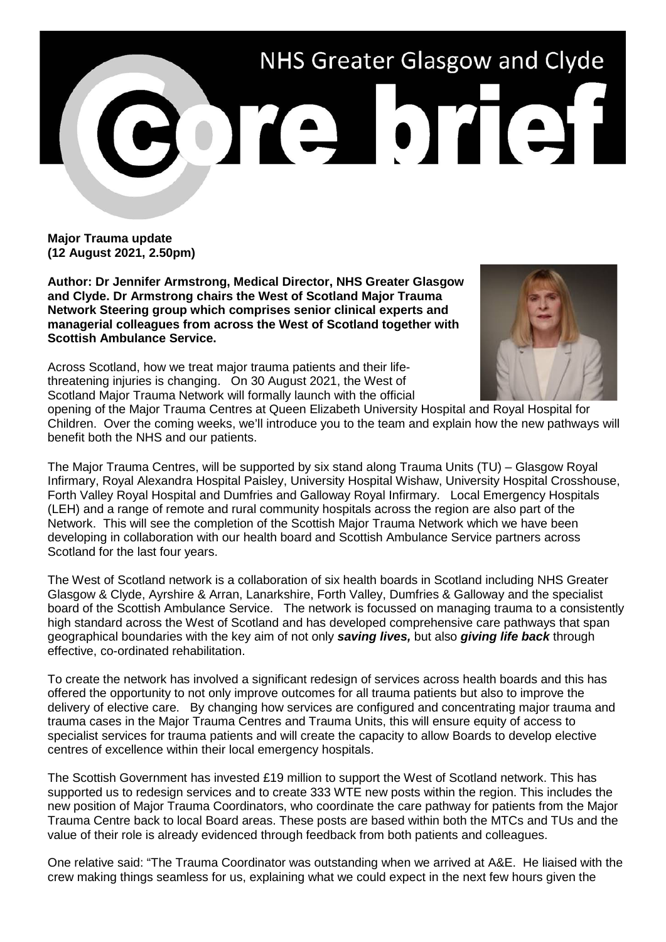

**Major Trauma update (12 August 2021, 2.50pm)**

**Author: Dr Jennifer Armstrong, Medical Director, NHS Greater Glasgow and Clyde. Dr Armstrong chairs the West of Scotland Major Trauma Network Steering group which comprises senior clinical experts and managerial colleagues from across the West of Scotland together with Scottish Ambulance Service.**

Across Scotland, how we treat major trauma patients and their lifethreatening injuries is changing. On 30 August 2021, the West of Scotland Major Trauma Network will formally launch with the official



opening of the Major Trauma Centres at Queen Elizabeth University Hospital and Royal Hospital for Children. Over the coming weeks, we'll introduce you to the team and explain how the new pathways will benefit both the NHS and our patients.

The Major Trauma Centres, will be supported by six stand along Trauma Units (TU) – Glasgow Royal Infirmary, Royal Alexandra Hospital Paisley, University Hospital Wishaw, University Hospital Crosshouse, Forth Valley Royal Hospital and Dumfries and Galloway Royal Infirmary. Local Emergency Hospitals (LEH) and a range of remote and rural community hospitals across the region are also part of the Network. This will see the completion of the Scottish Major Trauma Network which we have been developing in collaboration with our health board and Scottish Ambulance Service partners across Scotland for the last four years.

The West of Scotland network is a collaboration of six health boards in Scotland including NHS Greater Glasgow & Clyde, Ayrshire & Arran, Lanarkshire, Forth Valley, Dumfries & Galloway and the specialist board of the Scottish Ambulance Service. The network is focussed on managing trauma to a consistently high standard across the West of Scotland and has developed comprehensive care pathways that span geographical boundaries with the key aim of not only *saving lives,* but also *giving life back* through effective, co-ordinated rehabilitation.

To create the network has involved a significant redesign of services across health boards and this has offered the opportunity to not only improve outcomes for all trauma patients but also to improve the delivery of elective care. By changing how services are configured and concentrating major trauma and trauma cases in the Major Trauma Centres and Trauma Units, this will ensure equity of access to specialist services for trauma patients and will create the capacity to allow Boards to develop elective centres of excellence within their local emergency hospitals.

The Scottish Government has invested £19 million to support the West of Scotland network. This has supported us to redesign services and to create 333 WTE new posts within the region. This includes the new position of Major Trauma Coordinators, who coordinate the care pathway for patients from the Major Trauma Centre back to local Board areas. These posts are based within both the MTCs and TUs and the value of their role is already evidenced through feedback from both patients and colleagues.

One relative said: "The Trauma Coordinator was outstanding when we arrived at A&E. He liaised with the crew making things seamless for us, explaining what we could expect in the next few hours given the